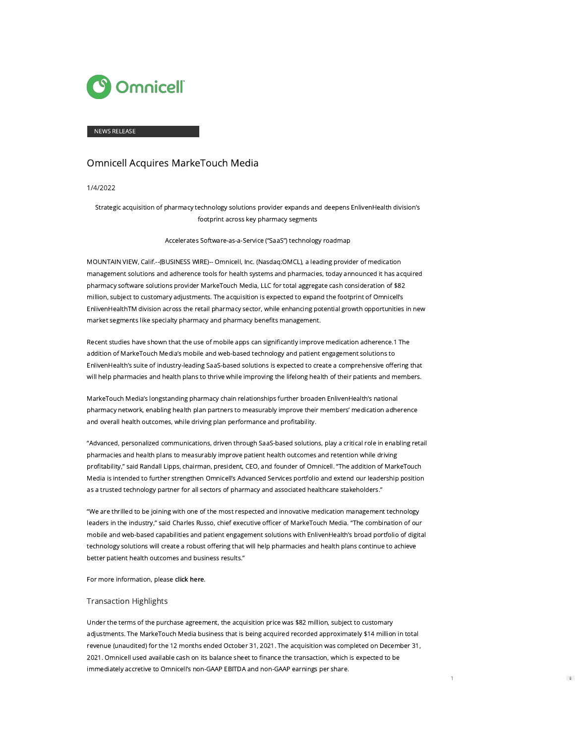

#### NEWS RELEASE

# Omnicell Acquires MarkeTouch Media

1/4/2022

Strategic acquisition of pharmacy technology solutions provider expands and deepens EnlivenHealth division's footprint across key pharmacy segments

Accelerates Software-as-a-Service ("SaaS") technology roadmap

MOUNTAIN VIEW, Calif.--(BUSINESS WIRE)-- Omnicell, Inc. (Nasdaq:OMCL), a leading provider of medication management solutions and adherence tools for health systems and pharmacies, today announced it has acquired pharmacy software solutions provider MarkeTouch Media, LLC for total aggregate cash consideration of \$82 million, subject to customary adjustments. The acquisition is expected to expand the footprint of Omnicell's EnlivenHealthTM division across the retail pharmacy sector, while enhancing potential growth opportunities in new market segments like specialty pharmacy and pharmacy benefits management.

Recent studies have shown that the use of mobile apps can significantly improve medication adherence.1 The addition of MarkeTouch Media's mobile and web-based technology and patient engagement solutions to EnlivenHealth's suite of industry-leading SaaS-based solutions is expected to create a comprehensive offering that will help pharmacies and health plans to thrive while improving the lifelong health of their patients and members.

MarkeTouch Media's longstanding pharmacy chain relationships further broaden EnlivenHealth's national pharmacy network, enabling health plan partners to measurably improve their members' medication adherence and overall health outcomes, while driving plan performance and profitability.

"Advanced, personalized communications, driven through SaaS-based solutions, play a critical role in enabling retail pharmacies and health plans to measurably improve patient health outcomes and retention while driving profitability," said Randall Lipps, chairman, president, CEO, and founder of Omnicell. "The addition of MarkeTouch Media is intended to further strengthen Omnicell's Advanced Services portfolio and extend our leadership position as a trusted technology partner for all sectors of pharmacy and associated healthcare stakeholders."

"We are thrilled to be joining with one of the most respected and innovative medication management technology leaders in the industry," said Charles Russo, chief executive officer of MarkeTouch Media. "The combination of our mobile and web-based capabilities and patient engagement solutions with EnlivenHealth's broad portfolio of digital technology solutions will create a robust offering that will help pharmacies and health plans continue to achieve better patient health outcomes and business results."

For more information, please [click here.](https://cts.businesswire.com/ct/CT?id=smartlink&url=https%3A%2F%2Fwww.omnicell.com%2FPDFs%2FAbout%2520Us%2FOmnicell-MarkeTouch-Media.pdf&esheet=52557313&newsitemid=20220104005392&lan=en-US&anchor=click+here&index=1&md5=60ed8705ad1710152b89c46ee980ca2d)

#### Transaction Highlights

Under the terms of the purchase agreement, the acquisition price was \$82 million, subject to customary adjustments. The MarkeTouch Media business that is being acquired recorded approximately \$14 million in total revenue (unaudited) for the 12 months ended October 31, 2021. The acquisition was completed on December 31, 2021. Omnicell used available cash on its balance sheet to finance the transaction, which is expected to be immediately accretive to Omnicell's non-GAAP EBITDA and non-GAAP earnings per share.

1

 $\ddot{\mathbf{v}}$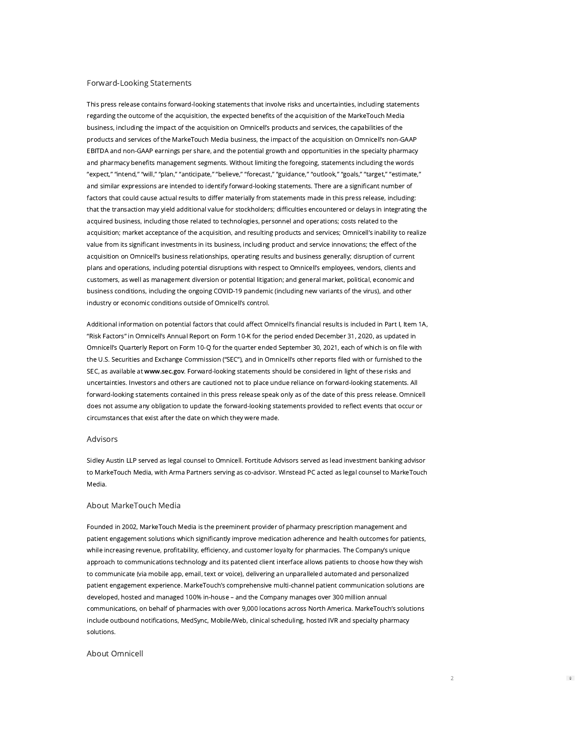#### Forward-Looking Statements

This press release contains forward-looking statements that involve risks and uncertainties, including statements regarding the outcome of the acquisition, the expected benefits of the acquisition of the MarkeTouch Media business, including the impact of the acquisition on Omnicell's products and services, the capabilities of the products and services of the MarkeTouch Media business, the impact of the acquisition on Omnicell's non-GAAP EBITDA and non-GAAP earnings per share, and the potential growth and opportunities in the specialty pharmacy and pharmacy benefits management segments. Without limiting the foregoing, statements including the words "expect," "intend," "will," "plan," "anticipate," "believe," "forecast," "guidance," "outlook," "goals," "target," "estimate," and similar expressions are intended to identify forward-looking statements. There are a significant number of factors that could cause actual results to differ materially from statements made in this press release, including: that the transaction may yield additional value for stockholders; difficulties encountered or delays in integrating the acquired business, including those related to technologies, personnel and operations; costs related to the acquisition; market acceptance of the acquisition, and resulting products and services; Omnicell's inability to realize value from its significant investments in its business, including product and service innovations; the effect of the acquisition on Omnicell's business relationships, operating results and business generally; disruption of current plans and operations, including potential disruptions with respect to Omnicell's employees, vendors, clients and customers, as well as management diversion or potential litigation; and general market, political, economic and business conditions, including the ongoing COVID-19 pandemic (including new variants of the virus), and other industry or economic conditions outside of Omnicell's control.

Additional information on potential factors that could affect Omnicell's financial results is included in Part I, Item 1A, "Risk Factors" in Omnicell's Annual Report on Form 10-K for the period ended December 31, 2020, as updated in Omnicell's Quarterly Report on Form 10-Q for the quarter ended September 30, 2021, each of which is on file with the U.S. Securities and Exchange Commission ("SEC"), and in Omnicell's other reports filed with or furnished to the SEC, as available at [www.sec.gov](https://cts.businesswire.com/ct/CT?id=smartlink&url=http%3A%2F%2Fwww.sec.gov&esheet=52557313&newsitemid=20220104005392&lan=en-US&anchor=www.sec.gov&index=2&md5=636b7be707c49c0a7037cd8d9bc2ab6c). Forward-looking statements should be considered in light of these risks and uncertainties. Investors and others are cautioned not to place undue reliance on forward-looking statements. All forward-looking statements contained in this press release speak only as of the date of this press release. Omnicell does not assume any obligation to update the forward-looking statements provided to reflect events that occur or circumstances that exist after the date on which they were made.

## Advisors

Sidley Austin LLP served as legal counsel to Omnicell. Fortitude Advisors served as lead investment banking advisor to MarkeTouch Media, with Arma Partners serving as co-advisor. Winstead PC acted as legal counsel to MarkeTouch Media.

## About MarkeTouch Media

Founded in 2002, MarkeTouch Media is the preeminent provider of pharmacy prescription management and patient engagement solutions which significantly improve medication adherence and health outcomes for patients, while increasing revenue, profitability, efficiency, and customer loyalty for pharmacies. The Company's unique approach to communications technology and its patented client interface allows patients to choose how they wish to communicate (via mobile app, email, text or voice), delivering an unparalleled automated and personalized patient engagement experience. MarkeTouch's comprehensive multi-channel patient communication solutions are developed, hosted and managed 100% in-house – and the Company manages over 300 million annual communications, on behalf of pharmacies with over 9,000 locations across North America. MarkeTouch's solutions include outbound notifications, MedSync, Mobile/Web, clinical scheduling, hosted IVR and specialty pharmacy solutions.

### About Omnicell

 $\ddot{\div}$